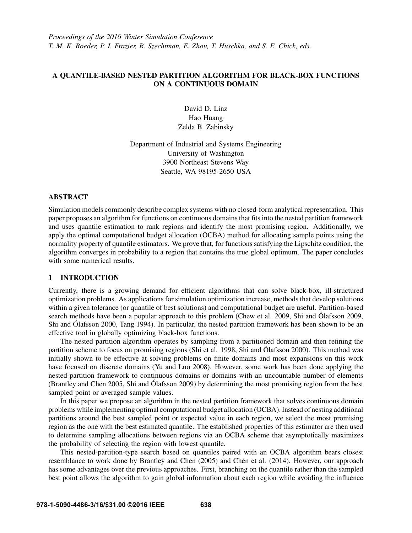*Proceedings of the 2016 Winter Simulation Conference T. M. K. Roeder, P. I. Frazier, R. Szechtman, E. Zhou, T. Huschka, and S. E. Chick, eds.*

# A QUANTILE-BASED NESTED PARTITION ALGORITHM FOR BLACK-BOX FUNCTIONS ON A CONTINUOUS DOMAIN

David D. Linz Hao Huang Zelda B. Zabinsky

Department of Industrial and Systems Engineering University of Washington 3900 Northeast Stevens Way Seattle, WA 98195-2650 USA

# ABSTRACT

Simulation models commonly describe complex systems with no closed-form analytical representation. This paper proposes an algorithm for functions on continuous domains that fits into the nested partition framework and uses quantile estimation to rank regions and identify the most promising region. Additionally, we apply the optimal computational budget allocation (OCBA) method for allocating sample points using the normality property of quantile estimators. We prove that, for functions satisfying the Lipschitz condition, the algorithm converges in probability to a region that contains the true global optimum. The paper concludes with some numerical results.

# 1 INTRODUCTION

Currently, there is a growing demand for efficient algorithms that can solve black-box, ill-structured optimization problems. As applications for simulation optimization increase, methods that develop solutions within a given tolerance (or quantile of best solutions) and computational budget are useful. Partition-based search methods have been a popular approach to this problem (Chew et al. 2009, Shi and Ólafsson 2009, Shi and Ólafsson 2000, Tang 1994). In particular, the nested partition framework has been shown to be an effective tool in globally optimizing black-box functions.

The nested partition algorithm operates by sampling from a partitioned domain and then refining the partition scheme to focus on promising regions (Shi et al. 1998, Shi and Ólafsson 2000). This method was initially shown to be effective at solving problems on finite domains and most expansions on this work have focused on discrete domains (Yu and Luo 2008). However, some work has been done applying the nested-partition framework to continuous domains or domains with an uncountable number of elements (Brantley and Chen 2005, Shi and Ólafsson 2009) by determining the most promising region from the best sampled point or averaged sample values.

In this paper we propose an algorithm in the nested partition framework that solves continuous domain problems while implementing optimal computational budget allocation (OCBA). Instead of nesting additional partitions around the best sampled point or expected value in each region, we select the most promising region as the one with the best estimated quantile. The established properties of this estimator are then used to determine sampling allocations between regions via an OCBA scheme that asymptotically maximizes the probability of selecting the region with lowest quantile.

This nested-partition-type search based on quantiles paired with an OCBA algorithm bears closest resemblance to work done by Brantley and Chen (2005) and Chen et al. (2014). However, our approach has some advantages over the previous approaches. First, branching on the quantile rather than the sampled best point allows the algorithm to gain global information about each region while avoiding the influence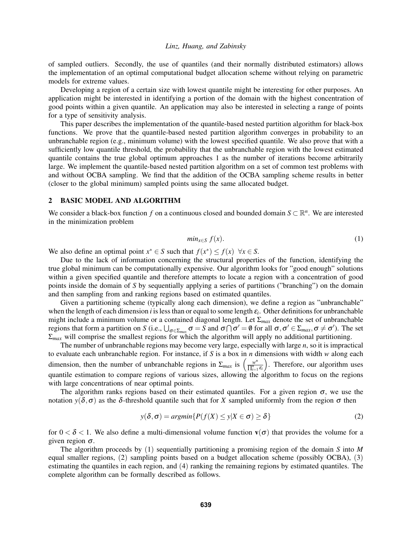of sampled outliers. Secondly, the use of quantiles (and their normally distributed estimators) allows the implementation of an optimal computational budget allocation scheme without relying on parametric models for extreme values.

Developing a region of a certain size with lowest quantile might be interesting for other purposes. An application might be interested in identifying a portion of the domain with the highest concentration of good points within a given quantile. An application may also be interested in selecting a range of points for a type of sensitivity analysis.

This paper describes the implementation of the quantile-based nested partition algorithm for black-box functions. We prove that the quantile-based nested partition algorithm converges in probability to an unbranchable region (e.g., minimum volume) with the lowest specified quantile. We also prove that with a sufficiently low quantile threshold, the probability that the unbranchable region with the lowest estimated quantile contains the true global optimum approaches 1 as the number of iterations become arbitrarily large. We implement the quantile-based nested partition algorithm on a set of common test problems with and without OCBA sampling. We find that the addition of the OCBA sampling scheme results in better (closer to the global minimum) sampled points using the same allocated budget.

# 2 BASIC MODEL AND ALGORITHM

We consider a black-box function *f* on a continuous closed and bounded domain  $S \subset \mathbb{R}^n$ . We are interested in the minimization problem

$$
min_{x \in S} f(x). \tag{1}
$$

We also define an optimal point  $x^* \in S$  such that  $f(x^*) \le f(x) \quad \forall x \in S$ .

Due to the lack of information concerning the structural properties of the function, identifying the true global minimum can be computationally expensive. Our algorithm looks for "good enough" solutions within a given specified quantile and therefore attempts to locate a region with a concentration of good points inside the domain of *S* by sequentially applying a series of partitions ("branching") on the domain and then sampling from and ranking regions based on estimated quantiles.

Given a partitioning scheme (typically along each dimension), we define a region as "unbranchable" when the length of each dimension  $i$  is less than or equal to some length  $\varepsilon_i$ . Other definitions for unbranchable might include a minimum volume or a contained diagonal length. Let Σ*max* denote the set of unbranchable regions that form a partition on *S* (i.e.,  $\bigcup_{\sigma \in \Sigma_{max}} \sigma = S$  and  $\sigma \cap \sigma' = \emptyset$  for all  $\sigma, \sigma' \in \Sigma_{max}, \sigma \neq \sigma'$ ). The set Σ*max* will comprise the smallest regions for which the algorithm will apply no additional partitioning.

The number of unbranchable regions may become very large, especially with large *n*, so it is impractical to evaluate each unbranchable region. For instance, if *S* is a box in *n* dimensions with width *w* along each dimension, then the number of unbranchable regions in  $\Sigma_{max}$  is  $\left(\frac{w^n}{\prod_{i=1}^n} \right)$ ∏ *n i*=1 ε*i* . Therefore, our algorithm uses quantile estimation to compare regions of various sizes, allowing the algorithm to focus on the regions with large concentrations of near optimal points.

The algorithm ranks regions based on their estimated quantiles. For a given region  $\sigma$ , we use the notation *y*( $\delta$ ,  $\sigma$ ) as the δ-threshold quantile such that for *X* sampled uniformly from the region σ then

$$
y(\delta, \sigma) = argmin\{P(f(X) \le y | X \in \sigma) \ge \delta\}
$$
\n(2)

for  $0 < \delta < 1$ . We also define a multi-dimensional volume function  $\mathbf{v}(\sigma)$  that provides the volume for a given region  $\sigma$ .

The algorithm proceeds by (1) sequentially partitioning a promising region of the domain *S* into *M* equal smaller regions, (2) sampling points based on a budget allocation scheme (possibly OCBA), (3) estimating the quantiles in each region, and (4) ranking the remaining regions by estimated quantiles. The complete algorithm can be formally described as follows.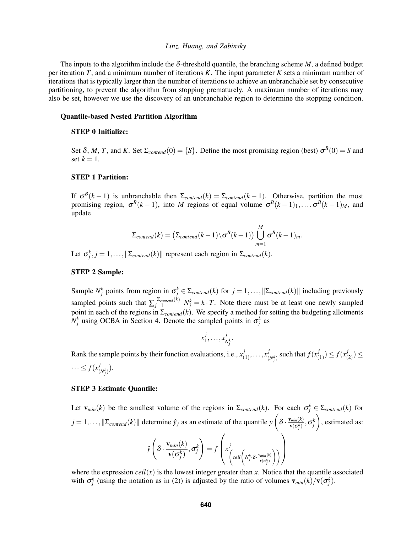The inputs to the algorithm include the  $\delta$ -threshold quantile, the branching scheme *M*, a defined budget per iteration *T*, and a minimum number of iterations *K*. The input parameter *K* sets a minimum number of iterations that is typically larger than the number of iterations to achieve an unbranchable set by consecutive partitioning, to prevent the algorithm from stopping prematurely. A maximum number of iterations may also be set, however we use the discovery of an unbranchable region to determine the stopping condition.

#### Quantile-based Nested Partition Algorithm

#### STEP 0 Initialize:

Set  $\delta$ , *M*, *T*, and *K*. Set  $\Sigma_{contend}(0) = \{S\}$ . Define the most promising region (best)  $\sigma^B(0) = S$  and set  $k = 1$ .

# STEP 1 Partition:

If  $\sigma^{B}(k-1)$  is unbranchable then  $\Sigma_{\text{control}}(k) = \Sigma_{\text{control}}(k-1)$ . Otherwise, partition the most promising region,  $\sigma^B(k-1)$ , into *M* regions of equal volume  $\sigma^B(k-1)_1,\ldots,\sigma^B(k-1)_M$ , and update

$$
\Sigma_{\text{content}}(k) = \left(\Sigma_{\text{content}}(k-1) \setminus \sigma^B(k-1)\right) \bigcup_{m=1}^{M} \sigma^B(k-1)_m.
$$

Let  $\sigma_j^k$ ,  $j = 1, ..., ||\Sigma_{\text{content}}(k)||$  represent each region in  $\Sigma_{\text{content}}(k)$ .

## STEP 2 Sample:

Sample  $N_j^k$  points from region in  $\sigma_j^k \in \Sigma_{\text{control}}(k)$  for  $j = 1, ..., ||\Sigma_{\text{control}}(k)||$  including previously sampled points such that  $\sum_{j=1}^{\|\sum_{content}(k)\|} N_j^k = k \cdot T$ . Note there must be at least one newly sampled point in each of the regions in Σ*contend*(*k*). We specify a method for setting the budgeting allotments  $N_j^k$  using OCBA in Section 4. Denote the sampled points in  $\sigma_j^k$  as

$$
x_1^j,\ldots,x_{N_j^k}^j.
$$

Rank the sample points by their function evaluations, i.e.,  $x_i^j$  $\frac{1}{(1)}, \ldots, x_{(n)}^j$  $\int_{(N_f^k)}^j$  such that  $f(x_j^j)$  $f_{(1)}^{j}$ )  $\leq f(x_{j}^{j})$  $_{(2)}^{J}) \leq$  $\cdots \leq f(x)$  $\binom{J}{(N_j^k)}$ .

### STEP 3 Estimate Quantile:

Let  $\mathbf{v}_{min}(k)$  be the smallest volume of the regions in  $\Sigma_{\text{control}}(k)$ . For each  $\sigma_j^k \in \Sigma_{\text{control}}(k)$  for  $j = 1, \ldots, ||\Sigma_{\text{contend}}(k)||$  determine  $\hat{y}_j$  as an estimate of the quantile  $y\left(\delta \cdot \frac{v_{\text{min}}(k)}{v(\sigma^k)}\right)$  $\frac{\sigma_{min}(k)}{\mathbf{v}(\sigma_j^k)}, \sigma_j^k$  , estimated as: *y*ˆ  $\sqrt{ }$  $\delta \cdot \frac{\mathbf{v}_{min}(k)}{e^{-(k)}}$  $\frac{\mathbf{v}_{min}(\kappa)}{\mathbf{v}(\sigma_j^k)}, \sigma_j^k$  $\setminus$  $= f$  $\sqrt{ }$  $\left(x^j\right)$  $\left($  *ceil*  $\left( N_j^k \cdot \delta \cdot \frac{\mathbf{v}_{min}(k)}{\mathbf{v}(\sigma_j^k)} \right)$ !!  $\setminus$  $\Big\}$ 

where the expression  $ceil(x)$  is the lowest integer greater than  $x$ . Notice that the quantile associated with  $\sigma_j^k$  (using the notation as in (2)) is adjusted by the ratio of volumes  $v_{min}(k)/v(\sigma_j^k)$ .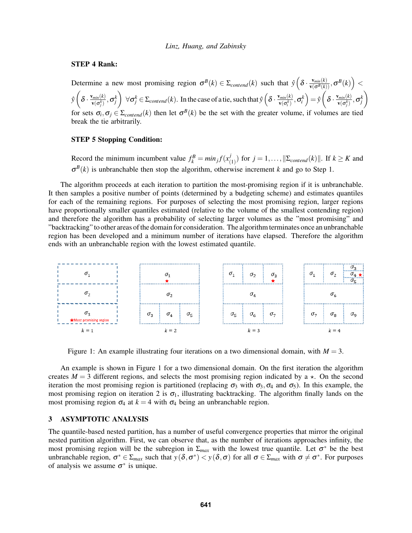# STEP 4 Rank:

Determine a new most promising region  $\sigma^B(k) \in \Sigma_{\text{control}}(k)$  such that  $\hat{y} \left( \delta \cdot \frac{v_{\text{min}}(k)}{v(\sigma^B(k))}, \sigma^B(k) \right)$  $\hat{y}$   $\left( \delta \cdot \frac{\mathbf{v}_{min}(k)}{\mathbf{v}(\sigma^k)} \right)$  $\frac{d_{min}(k)}{\mathbf{v}(\sigma_j^k)}, \sigma_j^k$  $\forall \sigma_j^k \in \Sigma_{\text{content}}(k)$ . In the case of a tie, such that  $\hat{y}$   $\left(\delta \cdot \frac{v_{\text{min}}(k)}{v(\sigma_j^k)}\right)$  $\left( \frac{\textit{v}_{\textit{min}}(k)}{\textbf{v}(\sigma_i^k)}, \sigma_i^k \right) = \hat{\textit{y}}\left( \delta \cdot \frac{\textbf{v}_{\textit{min}}(k)}{\textbf{v}(\sigma_i^k)} \right)$  $\frac{d_{min}(k)}{\mathbf{v}(\sigma_j^k)}, \sigma_j^k$  $\setminus$ for sets  $\sigma_i, \sigma_j \in \Sigma_{\text{contend}}(k)$  then let  $\sigma^B(k)$  be the set with the greater volume, if volumes are tied break the tie arbitrarily.

## STEP 5 Stopping Condition:

Record the minimum incumbent value  $f_k^B = min_j f(x_j^j)$  $(\binom{J}{1})$  for  $j = 1, \ldots, \|\Sigma_{\text{content}}(k)\|$ . If  $k \geq K$  and  $\sigma^{B}(k)$  is unbranchable then stop the algorithm, otherwise increment *k* and go to Step 1.

The algorithm proceeds at each iteration to partition the most-promising region if it is unbranchable. It then samples a positive number of points (determined by a budgeting scheme) and estimates quantiles for each of the remaining regions. For purposes of selecting the most promising region, larger regions have proportionally smaller quantiles estimated (relative to the volume of the smallest contending region) and therefore the algorithm has a probability of selecting larger volumes as the "most promising" and "backtracking" to other areas of the domain for consideration. The algorithm terminates once an unbranchable region has been developed and a minimum number of iterations have elapsed. Therefore the algorithm ends with an unbranchable region with the lowest estimated quantile.



Figure 1: An example illustrating four iterations on a two dimensional domain, with  $M = 3$ .

An example is shown in Figure 1 for a two dimensional domain. On the first iteration the algorithm creates  $M = 3$  different regions, and selects the most promising region indicated by a  $\star$ . On the second iteration the most promising region is partitioned (replacing  $\sigma_3$  with  $\sigma_3$ ,  $\sigma_4$  and  $\sigma_5$ ). In this example, the most promising region on iteration 2 is  $\sigma_1$ , illustrating backtracking. The algorithm finally lands on the most promising region  $\sigma_4$  at  $k = 4$  with  $\sigma_4$  being an unbranchable region.

# 3 ASYMPTOTIC ANALYSIS

The quantile-based nested partition, has a number of useful convergence properties that mirror the original nested partition algorithm. First, we can observe that, as the number of iterations approaches infinity, the most promising region will be the subregion in  $\Sigma_{max}$  with the lowest true quantile. Let  $\sigma^*$  be the best unbranchable region,  $\sigma^* \in \Sigma_{max}$  such that  $y(\delta, \sigma^*) < y(\delta, \sigma)$  for all  $\sigma \in \Sigma_{max}$  with  $\sigma \neq \sigma^*$ . For purposes of analysis we assume  $\sigma^*$  is unique.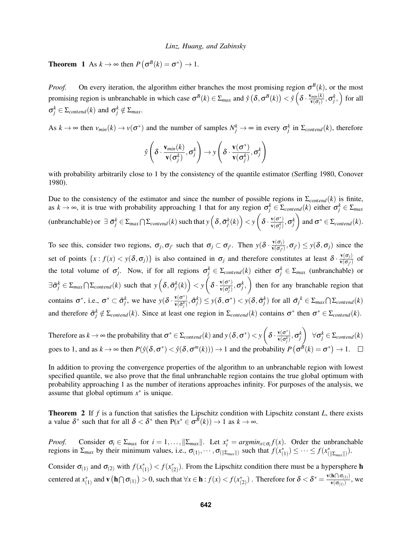**Theorem** 1 As  $k \to \infty$  then  $P(\sigma^B(k) = \sigma^*) \to 1$ .

*Proof.* On every iteration, the algorithm either branches the most promising region  $\sigma^{B}(k)$ , or the most promising region is unbranchable in which case  $\sigma^B(k) \in \Sigma_{max}$  and  $\hat{y}(\delta, \sigma^B(k)) < \hat{y}(\delta \cdot \frac{v_{min}(k)}{v(\sigma \cdot)})$  $\frac{\sigma_{\min}(k)}{\sigma(\sigma_j)}, \sigma_j^k, \Big)$  for all  $\sigma_j^k \in \Sigma_{\text{content}}(k)$  and  $\sigma_j^k \notin \Sigma_{\text{max}}$ .

As  $k \to \infty$  then  $v_{min}(k) \to v(\sigma^*)$  and the number of samples  $N_j^k \to \infty$  in every  $\sigma_j^k$  in  $\Sigma_{content}(k)$ , therefore

$$
\hat{\mathbf{y}}\left(\delta \cdot \frac{\mathbf{v}_{min}(k)}{\mathbf{v}(\sigma_j^k)}, \sigma_j^k\right) \rightarrow \mathbf{y}\left(\delta \cdot \frac{\mathbf{v}(\sigma^*)}{\mathbf{v}(\sigma_j^k)}, \sigma_j^k\right)
$$

with probability arbitrarily close to 1 by the consistency of the quantile estimator (Serfling 1980, Conover 1980).

Due to the consistency of the estimator and since the number of possible regions in  $\Sigma_{\text{content}}(k)$  is finite, as  $k \to \infty$ , it is true with probability approaching 1 that for any region  $\sigma_j^k \in \Sigma_{\text{content}}(k)$  either  $\sigma_j^k \in \Sigma_{\text{max}}$  $p(w)$  (unbranchable) or  $\exists \ \bar{\sigma}_j^k \in \Sigma_{max} \cap \Sigma_{content}(k)$  such that  $y\left(\delta, \bar{\sigma}_j^k(k)\right) < y\left(\delta \cdot \frac{\mathbf{v}(\sigma^k)}{\mathbf{v}(\sigma^k)}\right)$  $\frac{\mathbf{v}(\sigma^*)}{\mathbf{v}(\sigma^k_j)}, \sigma^k_j$ and  $\sigma^* \in \Sigma_{\text{content}}(k)$ .

To see this, consider two regions,  $\sigma_j, \sigma_{j'}$  such that  $\sigma_j \subset \sigma_{j'}$ . Then  $y(\delta \cdot \frac{v(\sigma_j)}{v(\sigma_j)})$  $\frac{\mathbf{v}(\mathbf{o}_j)}{\mathbf{v}(\sigma_{j'})}, \sigma_{j'} \leq y(\delta, \sigma_j)$  since the set of points  $\{x : f(x) < y(\delta, \sigma_j)\}\$ is also contained in  $\sigma_j$  and therefore constitutes at least  $\delta \cdot \frac{v(\sigma_j)}{v(\sigma_j)}\}$  $\frac{\mathbf{v}(\mathbf{o}_j)}{\mathbf{v}(\sigma_{j'})}$  of the total volume of  $\sigma'_j$ . Now, if for all regions  $\sigma_j^k \in \Sigma_{\text{content}}(k)$  either  $\sigma_j^k \in \Sigma_{\text{max}}$  (unbranchable) or  $\exists \bar{\sigma}_j^k \in \Sigma_{max} \cap \Sigma_{contend}(k)$  such that  $y\left(\delta, \bar{\sigma}_j^k(k)\right) < y\left(\delta \cdot \frac{\mathbf{v}(\sigma^*)}{\mathbf{v}(\sigma^k)}\right)$  $\left(\frac{\mathbf{v}(\sigma^*)}{\mathbf{v}(\sigma_j^k)}, \sigma_j^k\right)$  then for any branchable region that contains  $\sigma^*$ , i.e.,  $\sigma^* \subset \tilde{\sigma}_j^k$ , we have  $y(\delta \cdot \frac{v(\sigma^*)}{v(\tilde{\sigma}^k)})$  $\frac{\mathbf{v}(\sigma^*)}{\mathbf{v}(\tilde{\sigma}_j^k)}, \tilde{\sigma}_j^k) \leq y(\boldsymbol{\delta}, \sigma^*) < y(\boldsymbol{\delta}, \bar{\sigma}_j^k) \text{ for all } \bar{\sigma}_j^k \in \Sigma_{max} \bigcap \Sigma_{content}(k)$ and therefore  $\tilde{\sigma}_j^k \notin \Sigma_{\text{contend}}(k)$ . Since at least one region in  $\Sigma_{\text{contend}}(k)$  contains  $\sigma^*$  then  $\sigma^* \in \Sigma_{\text{contend}}(k)$ .

Therefore as  $k \to \infty$  the probability that  $\sigma^* \in \Sigma_{\text{content}}(k)$  and  $y(\delta, \sigma^*) < y \left( \delta \cdot \frac{v(\sigma^*)}{v(\sigma^k)} \right)$  $\frac{\mathbf{v}(\sigma^*)}{\mathbf{v}(\sigma^k_j)}, \sigma^k_j$  $\forall \sigma_j^k \in \Sigma_{\text{content}}(k)$ goes to 1, and as  $k \to \infty$  then  $P(\hat{y}(\delta, \sigma^*) < \hat{y}(\delta, \sigma^m(k))) \to 1$  and the probability  $P(\sigma^{\hat{B}}(k) = \sigma^*) \to 1$ .

In addition to proving the convergence properties of the algorithm to an unbranchable region with lowest specified quantile, we also prove that the final unbranchable region contains the true global optimum with probability approaching 1 as the number of iterations approaches infinity. For purposes of the analysis, we assume that global optimum  $x^*$  is unique.

Theorem 2 If *f* is a function that satisfies the Lipschitz condition with Lipschitz constant *L*, there exists a value  $\delta^*$  such that for all  $\delta < \delta^*$  then  $P(x^* \in \sigma^{\bar{B}}(k)) \to 1$  as  $k \to \infty$ .

*Proof.* Consider  $\sigma_i \in \Sigma_{max}$  for  $i = 1, ..., ||\Sigma_{max}||$ . Let  $x_i^* = argmin_{x \in \sigma_i} f(x)$ . Order the unbranchable regions in  $\Sigma_{max}$  by their minimum values, i.e.,  $\sigma_{(1)}, \cdots, \sigma_{(\Vert \Sigma_{max} \Vert)}$  such that  $f(x_{(1)}^*) \leq \cdots \leq f(x_{(\Vert \Sigma_{max} \Vert)}^*)$ .

Consider  $\sigma_{(1)}$  and  $\sigma_{(2)}$  with  $f(x_{(1)}^*) < f(x_{(2)}^*)$ . From the Lipschitz condition there must be a hypersphere **h** centered at  $x_{(1)}^*$  and  $\mathbf{v}(\mathbf{h} \cap \sigma_{(1)}) > 0$ , such that  $\forall x \in \mathbf{h} : f(x) < f(x_{(2)}^*)$ . Therefore for  $\delta < \delta^* = \frac{\mathbf{v}(\mathbf{h} \cap \sigma_{(1)})}{\mathbf{v}(\sigma_{(1)})}$  $\frac{\mathbf{u} \cdot \mathbf{v}(0)}{\mathbf{v}(\sigma_{(1)})}$ , we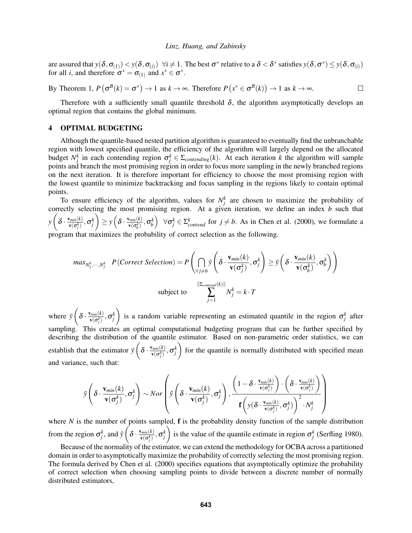are assured that  $y(\delta, \sigma_{(1)}) < y(\delta, \sigma_{(i)}) \ \forall i \neq 1$ . The best  $\sigma^*$  relative to a  $\delta < \delta^*$  satisfies  $y(\delta, \sigma^*) \leq y(\delta, \sigma_{(i)})$ for all *i*, and therefore  $\sigma^* = \sigma_{(1)}$  and  $x^* \in \sigma^*$ .

By Theorem 1,  $P(\sigma^B(k) = \sigma^*) \to 1$  as  $k \to \infty$ . Therefore  $P(x^* \in \sigma^B(k)) \to 1$  as  $k \to \infty$ .  $\Box$ 

Therefore with a sufficiently small quantile threshold  $\delta$ , the algorithm asymptotically develops an optimal region that contains the global minimum.

# 4 OPTIMAL BUDGETING

Although the quantile-based nested partition algorithm is guaranteed to eventually find the unbranchable region with lowest specified quantile, the efficiency of the algorithm will largely depend on the allocated budget  $N_j^k$  in each contending region  $\sigma_j^k \in \Sigma_{contending}(k)$ . At each iteration *k* the algorithm will sample points and branch the most promising region in order to focus more sampling in the newly branched regions on the next iteration. It is therefore important for efficiency to choose the most promising region with the lowest quantile to minimize backtracking and focus sampling in the regions likely to contain optimal points.

To ensure efficiency of the algorithm, values for  $N_f^k$  are chosen to maximize the probability of correctly selecting the most promising region. At a given iteration, we define an index *b* such that  $y\left(\delta \cdot \frac{\mathbf{v}_{min}(k)}{\mathbf{v}(\sigma^k)}\right)$  $\frac{\sigma_{min}(k)}{\mathbf{v}(\sigma_j^k)}, \sigma_j^k$  $\left\{ \sum y \left( \delta \cdot \frac{\mathbf{v}_{min}(k)}{\mathbf{v}(\sigma^k)} \right) \right\}$  $(\mathbf{v}_{\mathbf{v}(\sigma_b^k)}, \sigma_b^k)$   $\forall \sigma_j^k \in \Sigma_{\text{contend}}^k$  for  $j \neq b$ . As in Chen et al. (2000), we formulate a program that maximizes the probability of correct selection as the following.

$$
max_{N_1^k, \dots, N_j^k} P(Correct Selection) = P\left(\bigcap_{\forall j \neq b} \bar{y} \left(\delta \cdot \frac{\mathbf{v}_{min}(k)}{\mathbf{v}(\sigma_j^k)}, \sigma_j^k\right) \ge \bar{y} \left(\delta \cdot \frac{\mathbf{v}_{min}(k)}{\mathbf{v}(\sigma_b^k)}, \sigma_b^k\right)\right)
$$
  
subject to 
$$
\sum_{j=1}^{||\Sigma_{control}(k)||} N_j^k = k \cdot T
$$

where  $\bar{y}(\delta \cdot \frac{\mathbf{v}_{min}(k)}{\mathbf{v}(\sigma^k)})$  $\frac{d_{min}(k)}{\mathbf{v}(\sigma_j^k)}, \sigma_j^k$ ) is a random variable representing an estimated quantile in the region  $\sigma_j^k$  after sampling. This creates an optimal computational budgeting program that can be further specified by describing the distribution of the quantile estimator. Based on non-parametric order statistics, we can establish that the estimator  $\bar{y}$   $\left( \delta \cdot \frac{v_{min}(k)}{v(\sigma^k)} \right)$  $\frac{d_{min}(k)}{\mathbf{v}(\sigma_j^k)}, \sigma_j^k$  for the quantile is normally distributed with specified mean and variance, such that:

$$
\bar{\mathbf{y}}\left(\delta\cdot\frac{\mathbf{v}_{min}(k)}{\mathbf{v}(\sigma_j^k)},\sigma_j^k\right) \sim Nor\left(\hat{\mathbf{y}}\left(\delta\cdot\frac{\mathbf{v}_{min}(k)}{\mathbf{v}(\sigma_j^k)},\sigma_j^k\right),\frac{\left(1-\delta\cdot\frac{\mathbf{v}_{min}(k)}{\mathbf{v}(\sigma_j^k)}\right)\cdot\left(\delta\cdot\frac{\mathbf{v}_{min}(k)}{\mathbf{v}(\sigma_j^k)}\right)}{\mathbf{f}\left(\mathbf{y}(\delta\cdot\frac{\mathbf{v}_{min}(k)}{\mathbf{v}(\sigma_j^k)},\sigma_j^k)\right)^2\cdot N_j^k}\right)
$$

where  $N$  is the number of points sampled,  $f$  is the probability density function of the sample distribution from the region  $\sigma_j^k$ , and  $\hat{y}$   $\left( \delta \cdot \frac{v_{min}(k)}{v(\sigma_j^k)} \right)$  $\frac{d_{min}(k)}{\mathbf{v}(\sigma_j^k)}, \sigma_j^k$ ) is the value of the quantile estimate in region  $\sigma_j^k$  (Serfling 1980).

Because of the normality of the estimator, we can extend the methodology for OCBA across a partitioned domain in order to asymptotically maximize the probability of correctly selecting the most promising region. The formula derived by Chen et al. (2000) specifies equations that asymptotically optimize the probability of correct selection when choosing sampling points to divide between a discrete number of normally distributed estimators,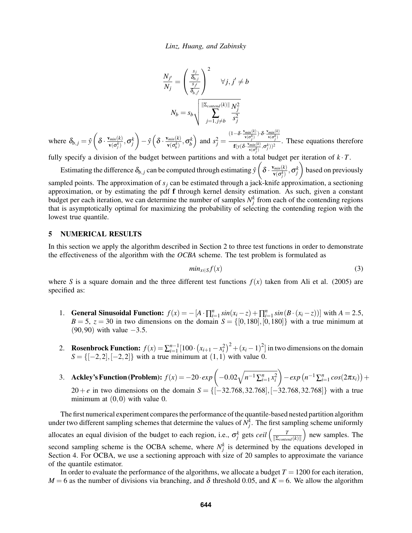$$
\frac{N_{j'}}{N_j} = \left(\frac{\frac{s_j}{\delta_{b,j}}}{\frac{s_{j'}}{\delta_{b,j'}}}\right)^2 \quad \forall j, j' \neq b
$$

$$
N_b = s_b \sqrt{\frac{\|\Sigma_{\text{content}}(k)\| N_j^2}{\sum_{j=1, j \neq b}^{N} \frac{s_j^2}{S_j^2}}}
$$

where  $\delta_{b,j} = \hat{y} \left( \delta \cdot \frac{\mathbf{v}_{min}(k)}{\mathbf{v}(\sigma^k)} \right)$  $\frac{\sigma_{min}(k)}{\sigma_{j}^{(k)}} , \sigma_{j}^{k}$  $\bigg(-\hat{y}\left(\delta \cdot \frac{\mathbf{v}_{min}(k)}{\mathbf{v}(\sigma^k)}\right)$  $\left(\frac{\text{v}_{\text{min}}(k)}{\text{v}(\sigma_b^k)}, \sigma_b^k\right)$  and  $s_j^2 =$  $(1-\delta \cdot \frac{v_{min}(k)}{v(\sigma_j^k)}) \cdot \delta \cdot \frac{v_{min}(k)}{v(\sigma_j^k)}$  $f(y(\delta \cdot \frac{v_{min}(k)}{v(\sigma_j^k)}, \sigma_j^k))^2$ . These equations therefore

fully specify a division of the budget between partitions and with a total budget per iteration of  $k \cdot T$ .

Estimating the difference  $\delta_{b,j}$  can be computed through estimating  $\hat{y}$   $\left( \delta \cdot \frac{v_{min}(k)}{v(\sigma^k)} \right)$  $\frac{\sigma_{min}(k)}{\mathbf{v}(\sigma_j^k)}, \sigma_j^k$  based on previously sampled points. The approximation of  $s_j$  can be estimated through a jack-knife approximation, a sectioning approximation, or by estimating the pdf f through kernel density estimation. As such, given a constant budget per each iteration, we can determine the number of samples  $N_j^k$  from each of the contending regions that is asymptotically optimal for maximizing the probability of selecting the contending region with the lowest true quantile.

# 5 NUMERICAL RESULTS

In this section we apply the algorithm described in Section 2 to three test functions in order to demonstrate the effectiveness of the algorithm with the *OCBA* scheme. The test problem is formulated as

$$
min_{x \in S} f(x) \tag{3}
$$

where *S* is a square domain and the three different test functions  $f(x)$  taken from Ali et al. (2005) are specified as:

- 1. **General Sinusoidal Function:**  $f(x) = -[A \cdot \prod_{i=1}^{n} sin(x_i z) + \prod_{i=1}^{n} sin(B \cdot (x_i z))]$  with  $A = 2.5$ ,  $B = 5$ ,  $z = 30$  in two dimensions on the domain  $S = \{[0,180], [0,180]\}$  with a true minimum at  $(90,90)$  with value  $-3.5$ .
- 2. Rosenbrock Function:  $f(x) = \sum_{i=1}^{n-1} [100 \cdot (x_{i+1} x_i^2)^2 + (x_i 1)^2]$  in two dimensions on the domain  $S = \{[-2, 2], [-2, 2]\}$  with a true minimum at  $(1, 1)$  with value 0.
- 3. Ackley's Function (Problem):  $f(x) = -20 \cdot exp \left(-0.02 \sqrt{n^{-1} \sum_{i=1}^{n} x_i^2}\right)$  $\bigg(-\exp\left(n^{-1}\sum_{i=1}^{n}cos(2\pi x_i)\right)+$ 20+*e* in two dimensions on the domain *S* = {[−32.768,32.768], [−32.768,32.768]} with a true minimum at  $(0,0)$  with value 0.

The first numerical experiment compares the performance of the quantile-based nested partition algorithm under two different sampling schemes that determine the values of  $N_f^k$ . The first sampling scheme uniformly allocates an equal division of the budget to each region, i.e.,  $\sigma_j^k$  gets *ceil*  $\left(\frac{T}{\|\Sigma_{control}\|}\right)$  $\|\Sigma_{\text{content}}(k)\|$  new samples. The second sampling scheme is the OCBA scheme, where  $N_f^k$  is determined by the equations developed in Section 4. For OCBA, we use a sectioning approach with size of 20 samples to approximate the variance of the quantile estimator.

In order to evaluate the performance of the algorithms, we allocate a budget  $T = 1200$  for each iteration,  $M = 6$  as the number of divisions via branching, and  $\delta$  threshold 0.05, and  $K = 6$ . We allow the algorithm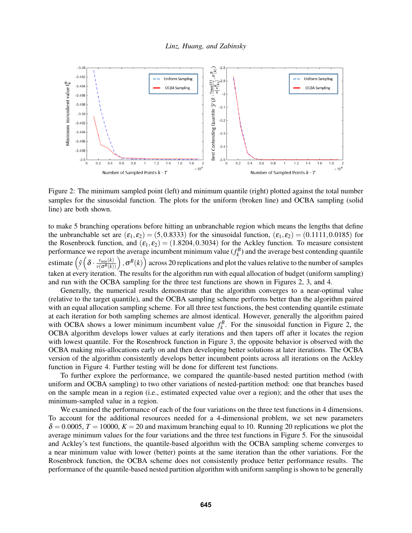

Figure 2: The minimum sampled point (left) and minimum quantile (right) plotted against the total number samples for the sinusoidal function. The plots for the uniform (broken line) and OCBA sampling (solid line) are both shown.

to make 5 branching operations before hitting an unbranchable region which means the lengths that define the unbranchable set are  $(\epsilon_1, \epsilon_2)$  = (5,0.8333) for the sinusoidal function,  $(\epsilon_1, \epsilon_2)$  = (0.1111,0.0185) for the Rosenbrock function, and  $(\varepsilon_1, \varepsilon_2) = (1.8204, 0.3034)$  for the Ackley function. To measure consistent performance we report the average incumbent minimum value  $(f_k^B)$  and the average best contending quantile estimate ( $\hat{y}$  $\left(\delta \cdot \frac{v_{min}(k)}{v(\sigma^B(k))}\right), \sigma^B(k)$  across 20 replications and plot the values relative to the number of samples taken at every iteration. The results for the algorithm run with equal allocation of budget (uniform sampling) and run with the OCBA sampling for the three test functions are shown in Figures 2, 3, and 4.

Generally, the numerical results demonstrate that the algorithm converges to a near-optimal value (relative to the target quantile), and the OCBA sampling scheme performs better than the algorithm paired with an equal allocation sampling scheme. For all three test functions, the best contending quantile estimate at each iteration for both sampling schemes are almost identical. However, generally the algorithm paired with OCBA shows a lower minimum incumbent value  $f_k^B$ . For the sinusoidal function in Figure 2, the OCBA algorithm develops lower values at early iterations and then tapers off after it locates the region with lowest quantile. For the Rosenbrock function in Figure 3, the opposite behavior is observed with the OCBA making mis-allocations early on and then developing better solutions at later iterations. The OCBA version of the algorithm consistently develops better incumbent points across all iterations on the Ackley function in Figure 4. Further testing will be done for different test functions.

To further explore the performance, we compared the quantile-based nested partition method (with uniform and OCBA sampling) to two other variations of nested-partition method: one that branches based on the sample mean in a region (i.e., estimated expected value over a region); and the other that uses the minimum-sampled value in a region.

We examined the performance of each of the four variations on the three test functions in 4 dimensions. To account for the additional resources needed for a 4-dimensional problem, we set new parameters  $\delta = 0.0005$ ,  $T = 10000$ ,  $K = 20$  and maximum branching equal to 10. Running 20 replications we plot the average minimum values for the four variations and the three test functions in Figure 5. For the sinusoidal and Ackley's test functions, the quantile-based algorithm with the OCBA sampling scheme converges to a near minimum value with lower (better) points at the same iteration than the other variations. For the Rosenbrock function, the OCBA scheme does not consistently produce better performance results. The performance of the quantile-based nested partition algorithm with uniform sampling is shown to be generally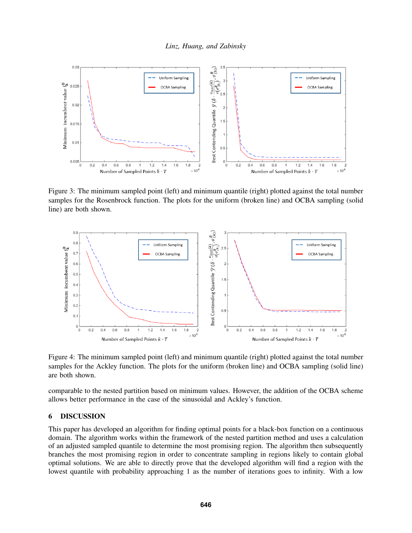

Figure 3: The minimum sampled point (left) and minimum quantile (right) plotted against the total number samples for the Rosenbrock function. The plots for the uniform (broken line) and OCBA sampling (solid line) are both shown.



Figure 4: The minimum sampled point (left) and minimum quantile (right) plotted against the total number samples for the Ackley function. The plots for the uniform (broken line) and OCBA sampling (solid line) are both shown.

comparable to the nested partition based on minimum values. However, the addition of the OCBA scheme allows better performance in the case of the sinusoidal and Ackley's function.

# 6 DISCUSSION

This paper has developed an algorithm for finding optimal points for a black-box function on a continuous domain. The algorithm works within the framework of the nested partition method and uses a calculation of an adjusted sampled quantile to determine the most promising region. The algorithm then subsequently branches the most promising region in order to concentrate sampling in regions likely to contain global optimal solutions. We are able to directly prove that the developed algorithm will find a region with the lowest quantile with probability approaching 1 as the number of iterations goes to infinity. With a low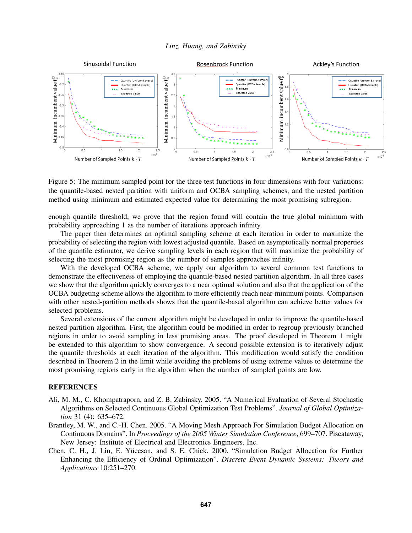

Figure 5: The minimum sampled point for the three test functions in four dimensions with four variations: the quantile-based nested partition with uniform and OCBA sampling schemes, and the nested partition method using minimum and estimated expected value for determining the most promising subregion.

enough quantile threshold, we prove that the region found will contain the true global minimum with probability approaching 1 as the number of iterations approach infinity.

The paper then determines an optimal sampling scheme at each iteration in order to maximize the probability of selecting the region with lowest adjusted quantile. Based on asymptotically normal properties of the quantile estimator, we derive sampling levels in each region that will maximize the probability of selecting the most promising region as the number of samples approaches infinity.

With the developed OCBA scheme, we apply our algorithm to several common test functions to demonstrate the effectiveness of employing the quantile-based nested partition algorithm. In all three cases we show that the algorithm quickly converges to a near optimal solution and also that the application of the OCBA budgeting scheme allows the algorithm to more efficiently reach near-minimum points. Comparison with other nested-partition methods shows that the quantile-based algorithm can achieve better values for selected problems.

Several extensions of the current algorithm might be developed in order to improve the quantile-based nested partition algorithm. First, the algorithm could be modified in order to regroup previously branched regions in order to avoid sampling in less promising areas. The proof developed in Theorem 1 might be extended to this algorithm to show convergence. A second possible extension is to iteratively adjust the quantile thresholds at each iteration of the algorithm. This modification would satisfy the condition described in Theorem 2 in the limit while avoiding the problems of using extreme values to determine the most promising regions early in the algorithm when the number of sampled points are low.

# REFERENCES

- Ali, M. M., C. Khompatraporn, and Z. B. Zabinsky. 2005. "A Numerical Evaluation of Several Stochastic Algorithms on Selected Continuous Global Optimization Test Problems". *Journal of Global Optimization* 31 (4): 635–672.
- Brantley, M. W., and C.-H. Chen. 2005. "A Moving Mesh Approach For Simulation Budget Allocation on Continuous Domains". In *Proceedings of the 2005 Winter Simulation Conference*, 699–707. Piscataway, New Jersey: Institute of Electrical and Electronics Engineers, Inc.
- Chen, C. H., J. Lin, E. Yucesan, and S. E. Chick. 2000. "Simulation Budget Allocation for Further ¨ Enhancing the Efficiency of Ordinal Optimization". *Discrete Event Dynamic Systems: Theory and Applications* 10:251–270.